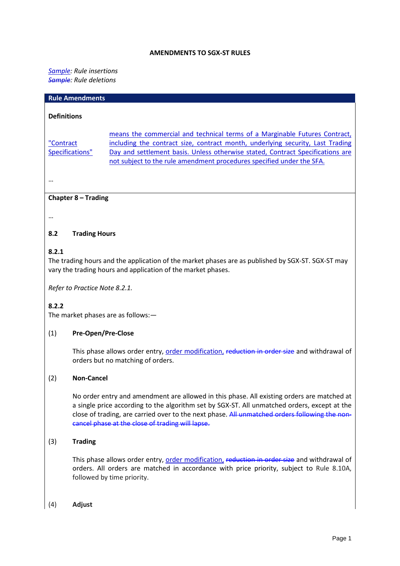#### **AMENDMENTS TO SGX-ST RULES**

#### *Sample : Rule insertions Sample: Rule deletions*

| <b>Rule Amendments</b>                                                                                                                                                     |                                                                                                                                                                                                                                                                                                                         |  |  |  |  |
|----------------------------------------------------------------------------------------------------------------------------------------------------------------------------|-------------------------------------------------------------------------------------------------------------------------------------------------------------------------------------------------------------------------------------------------------------------------------------------------------------------------|--|--|--|--|
| <b>Definitions</b>                                                                                                                                                         |                                                                                                                                                                                                                                                                                                                         |  |  |  |  |
| "Contract<br>Specifications"                                                                                                                                               | means the commercial and technical terms of a Marginable Futures Contract,<br>including the contract size, contract month, underlying security, Last Trading<br>Day and settlement basis. Unless otherwise stated, Contract Specifications are<br>not subject to the rule amendment procedures specified under the SFA. |  |  |  |  |
|                                                                                                                                                                            |                                                                                                                                                                                                                                                                                                                         |  |  |  |  |
| Chapter $8 -$ Trading                                                                                                                                                      |                                                                                                                                                                                                                                                                                                                         |  |  |  |  |
|                                                                                                                                                                            |                                                                                                                                                                                                                                                                                                                         |  |  |  |  |
| 8.2<br><b>Trading Hours</b>                                                                                                                                                |                                                                                                                                                                                                                                                                                                                         |  |  |  |  |
| 8.2.1<br>The trading hours and the application of the market phases are as published by SGX-ST. SGX-ST may<br>vary the trading hours and application of the market phases. |                                                                                                                                                                                                                                                                                                                         |  |  |  |  |

*Refer to Practice Note 8.2.1.*

### **8.2.2**

The market phases are as follows:—

#### (1) **Pre-Open/Pre-Close**

This phase allows order entry, order modification, reduction in order size and withdrawal of orders but no matching of orders.

#### (2) **Non-Cancel**

No order entry and amendment are allowed in this phase. All existing orders are matched at a single price according to the algorithm set by SGX-ST. All unmatched orders, except at the close of trading, are carried over to the next phase. All unmatched orders following the noncancel phase at the close of trading will lapse.

#### (3) **Trading**

This phase allows order entry, order modification, reduction in order size and withdrawal of orders. All orders are matched in accordance with price priority, subject to Rule 8.10A, followed by time priority.

(4) **Adjust**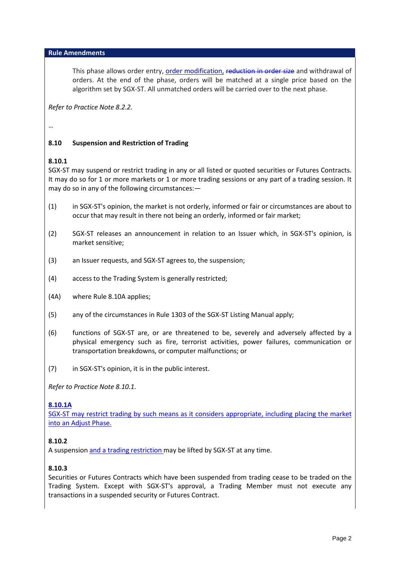#### **Rule Amendments**

This phase allows order entry, order modification, reduction in order size and withdrawal of orders. At the end of the phase, orders will be matched at a single price based on the algorithm set by SGX-ST. All unmatched orders will be carried over to the next phase.

*Refer to Practice Note 8.2.2.*

…

## **8.10 Suspension and Restriction of Trading**

### **8.10.1**

SGX-ST may suspend or restrict trading in any or all listed or quoted securities or Futures Contracts. It may do so for 1 or more markets or 1 or more trading sessions or any part of a trading session. It may do so in any of the following circumstances:—

- (1) in SGX-ST's opinion, the market is not orderly, informed or fair or circumstances are about to occur that may result in there not being an orderly, informed or fair market;
- (2) SGX-ST releases an announcement in relation to an Issuer which, in SGX-ST's opinion, is market sensitive;
- (3) an Issuer requests, and SGX-ST agrees to, the suspension;
- (4) access to the Trading System is generally restricted;
- (4A) where Rule 8.10A applies;
- (5) any of the circumstances in Rule 1303 of the SGX-ST Listing Manual apply;
- (6) functions of SGX-ST are, or are threatened to be, severely and adversely affected by a physical emergency such as fire, terrorist activities, power failures, communication or transportation breakdowns, or computer malfunctions; or
- (7) in SGX-ST's opinion, it is in the public interest.

*Refer to Practice Note 8.10.1.*

#### **8.10.1A**

SGX-ST may restrict trading by such means as it considers appropriate, including placing the market into an Adjust Phase.

#### **8.10.2**

A suspension and a trading restriction may be lifted by SGX-ST at any time.

### **8.10.3**

Securities or Futures Contracts which have been suspended from trading cease to be traded on the Trading System. Except with SGX-ST's approval, a Trading Member must not execute any transactions in a suspended security or Futures Contract.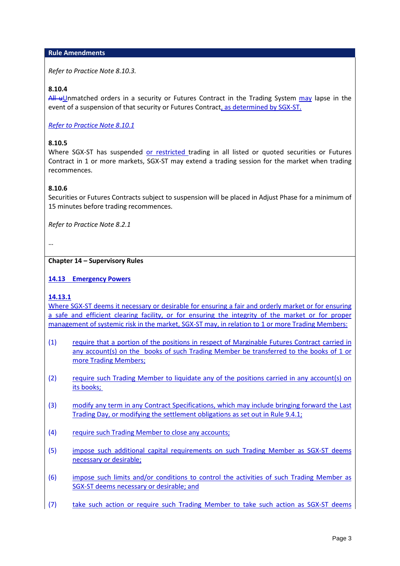#### **Rule Amendments**

*Refer to Practice Note 8.10.3.* 

### **8.10.4**

 $AH$  uUnmatched orders in a security or Futures Contract in the Trading System may lapse in the event of a suspension of that security or Futures Contract, as determined by SGX-ST.

*Refer to Practice Note 8.10.1*

### **8.10.5**

Where SGX-ST has suspended or restricted trading in all listed or quoted securities or Futures Contract in 1 or more markets, SGX-ST may extend a trading session for the market when trading recommences.

### **8.10.6**

Securities or Futures Contracts subject to suspension will be placed in Adjust Phase for a minimum of 15 minutes before trading recommences.

*Refer to Practice Note 8.2.1*

…

#### **Chapter 14 – Supervisory Rules**

### **14.13 Emergency Powers**

#### **14.13.1**

Where SGX-ST deems it necessary or desirable for ensuring a fair and orderly market or for ensuring a safe and efficient clearing facility, or for ensuring the integrity of the market or for proper management of systemic risk in the market, SGX-ST may, in relation to 1 or more Trading Members:

- (1) require that a portion of the positions in respect of Marginable Futures Contract carried in any account(s) on the books of such Trading Member be transferred to the books of 1 or more Trading Members;
- (2) require such Trading Member to liquidate any of the positions carried in any account(s) on its books;
- (3) modify any term in any Contract Specifications, which may include bringing forward the Last Trading Day, or modifying the settlement obligations as set out in Rule 9.4.1;
- (4) require such Trading Member to close any accounts;
- (5) impose such additional capital requirements on such Trading Member as SGX-ST deems necessary or desirable;
- (6) impose such limits and/or conditions to control the activities of such Trading Member as SGX-ST deems necessary or desirable; and
- (7) take such action or require such Trading Member to take such action as SGX-ST deems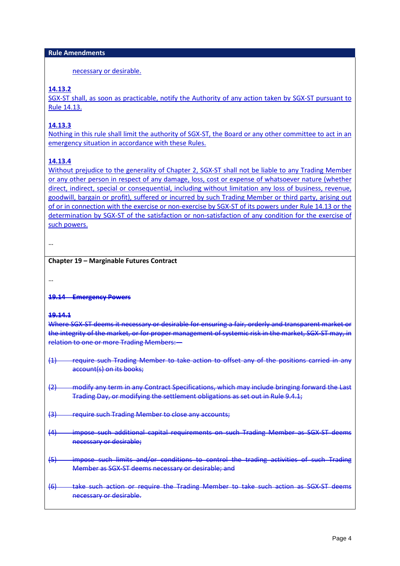necessary or desirable.

# **14.13.2**

SGX-ST shall, as soon as practicable, notify the Authority of any action taken by SGX-ST pursuant to Rule 14.13.

## **14.13.3**

Nothing in this rule shall limit the authority of SGX-ST, the Board or any other committee to act in an emergency situation in accordance with these Rules.

## **14.13.4**

Without prejudice to the generality of Chapter 2, SGX-ST shall not be liable to any Trading Member or any other person in respect of any damage, loss, cost or expense of whatsoever nature (whether direct, indirect, special or consequential, including without limitation any loss of business, revenue, goodwill, bargain or profit), suffered or incurred by such Trading Member or third party, arising out of or in connection with the exercise or non-exercise by SGX-ST of its powers under Rule 14.13 or the determination by SGX-ST of the satisfaction or non-satisfaction of any condition for the exercise of such powers.

```
…
```
### **Chapter 19 – Marginable Futures Contract**

…

#### **19.14 Emergency Powers**

#### **19.14.1**

Where SGX-ST deems it necessary or desirable for ensuring a fair, orderly and transparent market or the integrity of the market, or for proper management of systemic risk in the market, SGX-ST may, in relation to one or more Trading Members:—

- (1) require such Trading Member to take action to offset any of the positions carried in any account(s) on its books;
- (2) modify any term in any Contract Specifications, which may include bringing forward the Last Trading Day, or modifying the settlement obligations as set out in Rule 9.4.1;
- (3) require such Trading Member to close any accounts;
- (4) impose such additional capital requirements on such Trading Member as SGX-ST deems necessary or desirable;
- (5) impose such limits and/or conditions to control the trading activities of such Trading Member as SGX-ST deems necessary or desirable; and
- (6) take such action or require the Trading Member to take such action as SGX-ST deems necessary or desirable.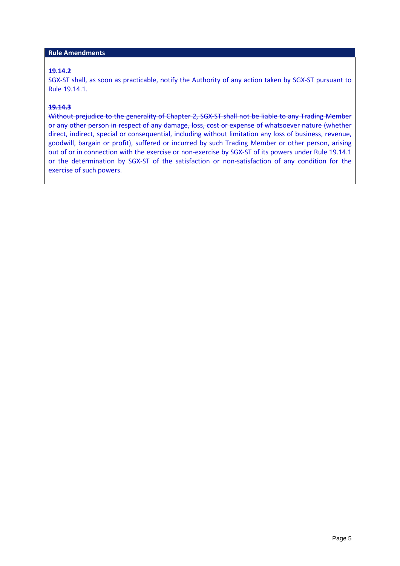### **Rule Amendments**

### **19.14.2**

SGX-ST shall, as soon as practicable, notify the Authority of any action taken by SGX-ST pursuant to Rule 19.14.1.

### **19.14.3**

Without prejudice to the generality of [Chapter 2,](http://rulebook.sgx.com/en/display/display.html?rbid=3271&element_id=910) SGX-ST shall not be liable to any Trading Member or any other person in respect of any damage, loss, cost or expense of whatsoever nature (whether direct, indirect, special or consequential, including without limitation any loss of business, revenue, goodwill, bargain or profit), suffered or incurred by such Trading Member or other person, arising out of or in connection with the exercise or non-exercise by SGX-ST of its powers under [Rule 19.14.1](http://rulebook.sgx.com/en/display/display.html?rbid=3271&element_id=1742) or the determination by SGX-ST of the satisfaction or non-satisfaction of any condition for the exercise of such powers.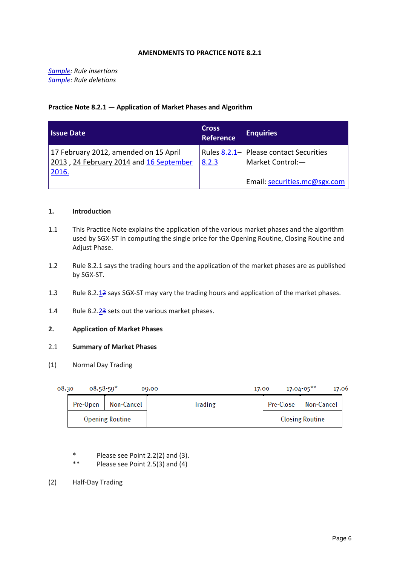#### **AMENDMENTS TO PRACTICE NOTE 8.2.1**

*Sample : Rule insertions Sample: Rule deletions*

#### **Practice Note 8.2.1 — Application of Market Phases and Algorithm**

| l Issue Date                                                                              | <b>Cross</b><br><b>Reference</b> | <b>Enquiries</b>                                           |
|-------------------------------------------------------------------------------------------|----------------------------------|------------------------------------------------------------|
| 17 February 2012, amended on 15 April<br>2013, 24 February 2014 and 16 September<br>2016. | 8.2.3                            | Rules 8.2.1- Please contact Securities<br>Market Control:- |
|                                                                                           |                                  | Email: securities.mc@sgx.com                               |

#### **1. Introduction**

- 1.1 This Practice Note explains the application of the various market phases and the algorithm used by SGX-ST in computing the single price for the Opening Routine, Closing Routine and Adjust Phase.
- 1.2 Rule 8.2.1 says the trading hours and the application of the market phases are as published by SGX-ST.
- 1.3 Rule 8.2.12 says SGX-ST may vary the trading hours and application of the market phases.
- 1.4 Rule 8.2.<sup>23</sup> sets out the various market phases.

#### **2. Application of Market Phases**

#### 2.1 **Summary of Market Phases**

(1) Normal Day Trading

| 08.30 | $08.58 - 50*$ |                        | 00.00          | 17.00     | $17.04 - 05***$<br>17.06 |  |
|-------|---------------|------------------------|----------------|-----------|--------------------------|--|
|       | Pre-Open      | Non-Cancel             | <b>Trading</b> | Pre-Close | Non-Cancel               |  |
|       |               | <b>Opening Routine</b> |                |           | <b>Closing Routine</b>   |  |

- \* Please see Point 2.2(2) and (3).<br>\*\* Please see Point 2.5(3) and (4)
- Please see Point  $2.5(3)$  and  $(4)$
- (2) Half-Day Trading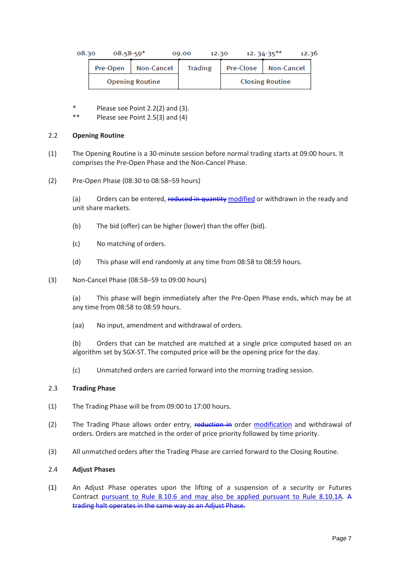| 08.30 | $08.58 - 59*$ |                        | 12.30<br>00.00 |           | 12.36<br>$12.34 - 35***$ |  |
|-------|---------------|------------------------|----------------|-----------|--------------------------|--|
|       | Pre-Open      | Non-Cancel             | <b>Trading</b> | Pre-Close | Non-Cancel               |  |
|       |               | <b>Opening Routine</b> |                |           | <b>Closing Routine</b>   |  |

- \* Please see Point 2.2(2) and (3).
- \*\* Please see Point 2.5(3) and (4)

#### 2.2 **Opening Routine**

- (1) The Opening Routine is a 30-minute session before normal trading starts at 09:00 hours. It comprises the Pre-Open Phase and the Non-Cancel Phase.
- (2) Pre-Open Phase (08:30 to 08:58–59 hours)

(a) Orders can be entered, reduced in quantity modified or withdrawn in the ready and unit share markets.

- (b) The bid (offer) can be higher (lower) than the offer (bid).
- (c) No matching of orders.
- (d) This phase will end randomly at any time from 08:58 to 08:59 hours.
- (3) Non-Cancel Phase (08:58–59 to 09:00 hours)

(a) This phase will begin immediately after the Pre-Open Phase ends, which may be at any time from 08:58 to 08:59 hours.

(aa) No input, amendment and withdrawal of orders.

(b) Orders that can be matched are matched at a single price computed based on an algorithm set by SGX-ST. The computed price will be the opening price for the day.

(c) Unmatched orders are carried forward into the morning trading session.

#### 2.3 **Trading Phase**

- (1) The Trading Phase will be from 09:00 to 17:00 hours.
- (2) The Trading Phase allows order entry, reduction in order modification and withdrawal of orders. Orders are matched in the order of price priority followed by time priority.
- (3) All unmatched orders after the Trading Phase are carried forward to the Closing Routine.

#### 2.4 **Adjust Phases**

(1) An Adjust Phase operates upon the lifting of a suspension of a security or Futures Contract pursuant to Rule 8.10.6 and may also be applied pursuant to Rule 8.10.1A. A trading halt operates in the same way as an Adjust Phase.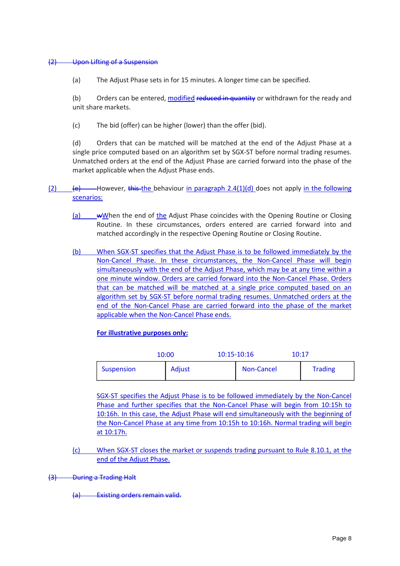#### (2) Upon Lifting of a Suspension

(a) The Adjust Phase sets in for 15 minutes. A longer time can be specified.

(b) Orders can be entered, modified reduced in quantity or withdrawn for the ready and unit share markets.

(c) The bid (offer) can be higher (lower) than the offer (bid).

(d) Orders that can be matched will be matched at the end of the Adjust Phase at a single price computed based on an algorithm set by SGX-ST before normal trading resumes. Unmatched orders at the end of the Adjust Phase are carried forward into the phase of the market applicable when the Adjust Phase ends.

- (2)  $\left\{ \frac{e}{e} \right\}$  However, this the behaviour in paragraph 2.4(1)(d) does not apply in the following scenarios:
	- (a) wWhen the end of the Adjust Phase coincides with the Opening Routine or Closing Routine. In these circumstances, orders entered are carried forward into and matched accordingly in the respective Opening Routine or Closing Routine.
	- (b) When SGX-ST specifies that the Adjust Phase is to be followed immediately by the Non-Cancel Phase. In these circumstances, the Non-Cancel Phase will begin simultaneously with the end of the Adjust Phase, which may be at any time within a one minute window. Orders are carried forward into the Non-Cancel Phase. Orders that can be matched will be matched at a single price computed based on an algorithm set by SGX-ST before normal trading resumes. Unmatched orders at the end of the Non-Cancel Phase are carried forward into the phase of the market applicable when the Non-Cancel Phase ends.

#### **For illustrative purposes only:**

| 10:00      |        | 10:15-10:16 |            | 10:17 |                |
|------------|--------|-------------|------------|-------|----------------|
| Suspension | Adjust |             | Non-Cancel |       | <b>Trading</b> |

SGX-ST specifies the Adjust Phase is to be followed immediately by the Non-Cancel Phase and further specifies that the Non-Cancel Phase will begin from 10:15h to 10:16h. In this case, the Adjust Phase will end simultaneously with the beginning of the Non-Cancel Phase at any time from 10:15h to 10:16h. Normal trading will begin at 10:17h.

(c) When SGX-ST closes the market or suspends trading pursuant to Rule 8.10.1, at the end of the Adjust Phase.

(3) During a Trading Halt

(a) Existing orders remain valid.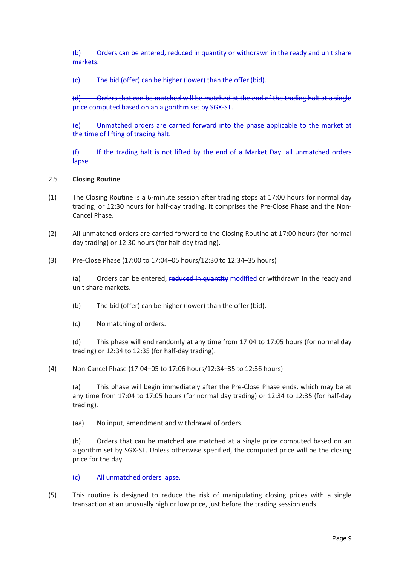(b) Orders can be entered, reduced in quantity or withdrawn in the ready and unit share markets.

(c) The bid (offer) can be higher (lower) than the offer (bid).

(d) Orders that can be matched will be matched at the end of the trading halt at a single price computed based on an algorithm set by SGX-ST.

(e) Unmatched orders are carried forward into the phase applicable to the market at the time of lifting of trading halt.

(f) If the trading halt is not lifted by the end of a Market Day, all unmatched orders lapse.

#### 2.5 **Closing Routine**

- (1) The Closing Routine is a 6-minute session after trading stops at 17:00 hours for normal day trading, or 12:30 hours for half-day trading. It comprises the Pre-Close Phase and the Non-Cancel Phase.
- (2) All unmatched orders are carried forward to the Closing Routine at 17:00 hours (for normal day trading) or 12:30 hours (for half-day trading).
- (3) Pre-Close Phase (17:00 to 17:04–05 hours/12:30 to 12:34–35 hours)

(a) Orders can be entered, reduced in quantity modified or withdrawn in the ready and unit share markets.

(b) The bid (offer) can be higher (lower) than the offer (bid).

(c) No matching of orders.

(d) This phase will end randomly at any time from 17:04 to 17:05 hours (for normal day trading) or 12:34 to 12:35 (for half-day trading).

(4) Non-Cancel Phase (17:04–05 to 17:06 hours/12:34–35 to 12:36 hours)

(a) This phase will begin immediately after the Pre-Close Phase ends, which may be at any time from 17:04 to 17:05 hours (for normal day trading) or 12:34 to 12:35 (for half-day trading).

(aa) No input, amendment and withdrawal of orders.

(b) Orders that can be matched are matched at a single price computed based on an algorithm set by SGX-ST. Unless otherwise specified, the computed price will be the closing price for the day.

#### (c) All unmatched orders lapse.

(5) This routine is designed to reduce the risk of manipulating closing prices with a single transaction at an unusually high or low price, just before the trading session ends.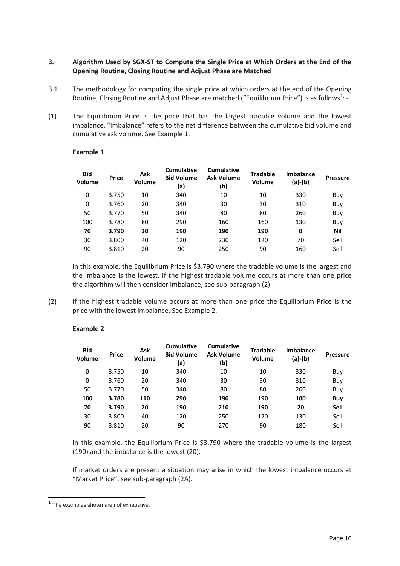### **3. Algorithm Used by SGX-ST to Compute the Single Price at Which Orders at the End of the Opening Routine, Closing Routine and Adjust Phase are Matched**

- 3.1 The methodology for computing the single price at which orders at the end of the Opening Routine, Closing Routine and Adjust Phase are matched ("Equilibrium Price") is as follows<sup>[1](#page-9-0)</sup>: -
- (1) The Equilibrium Price is the price that has the largest tradable volume and the lowest imbalance. "Imbalance" refers to the net difference between the cumulative bid volume and cumulative ask volume. See Example 1.

| <b>Bid</b><br>Volume | <b>Price</b> | Ask<br>Volume | <b>Cumulative</b><br><b>Bid Volume</b><br>(a) | <b>Cumulative</b><br><b>Ask Volume</b><br>(b) | <b>Tradable</b><br>Volume | <b>Imbalance</b><br>(a)-(b) | <b>Pressure</b> |
|----------------------|--------------|---------------|-----------------------------------------------|-----------------------------------------------|---------------------------|-----------------------------|-----------------|
| 0                    | 3.750        | 10            | 340                                           | 10                                            | 10                        | 330                         | Buy             |
| 0                    | 3.760        | 20            | 340                                           | 30                                            | 30                        | 310                         | Buy             |
| 50                   | 3.770        | 50            | 340                                           | 80                                            | 80                        | 260                         | Buy             |
| 100                  | 3.780        | 80            | 290                                           | 160                                           | 160                       | 130                         | Buy             |
| 70                   | 3.790        | 30            | 190                                           | 190                                           | 190                       | 0                           | Nil             |
| 30                   | 3.800        | 40            | 120                                           | 230                                           | 120                       | 70                          | Sell            |
| 90                   | 3.810        | 20            | 90                                            | 250                                           | 90                        | 160                         | Sell            |

#### **Example 1**

In this example, the Equilibrium Price is \$3.790 where the tradable volume is the largest and the imbalance is the lowest. If the highest tradable volume occurs at more than one price the algorithm will then consider imbalance, see sub-paragraph (2).

(2) If the highest tradable volume occurs at more than one price the Equilibrium Price is the price with the lowest imbalance. See Example 2.

#### **Example 2**

| <b>Bid</b><br>Volume | <b>Price</b> | Ask<br>Volume | <b>Cumulative</b><br><b>Bid Volume</b><br>(a) | <b>Cumulative</b><br><b>Ask Volume</b><br>(b) | <b>Tradable</b><br>Volume | <b>Imbalance</b><br>$(a)-(b)$ | <b>Pressure</b> |
|----------------------|--------------|---------------|-----------------------------------------------|-----------------------------------------------|---------------------------|-------------------------------|-----------------|
| 0                    | 3.750        | 10            | 340                                           | 10                                            | 10                        | 330                           | Buy             |
| 0                    | 3.760        | 20            | 340                                           | 30                                            | 30                        | 310                           | Buy             |
| 50                   | 3.770        | 50            | 340                                           | 80                                            | 80                        | 260                           | Buy             |
| 100                  | 3.780        | 110           | 290                                           | 190                                           | 190                       | 100                           | Buy             |
| 70                   | 3.790        | 20            | 190                                           | 210                                           | 190                       | 20                            | <b>Sell</b>     |
| 30                   | 3.800        | 40            | 120                                           | 250                                           | 120                       | 130                           | Sell            |
| 90                   | 3.810        | 20            | 90                                            | 270                                           | 90                        | 180                           | Sell            |
|                      |              |               |                                               |                                               |                           |                               |                 |

In this example, the Equilibrium Price is \$3.790 where the tradable volume is the largest (190) and the imbalance is the lowest (20).

If market orders are present a situation may arise in which the lowest imbalance occurs at "Market Price", see sub-paragraph (2A).

<span id="page-9-0"></span> $1$  The examples shown are not exhaustive.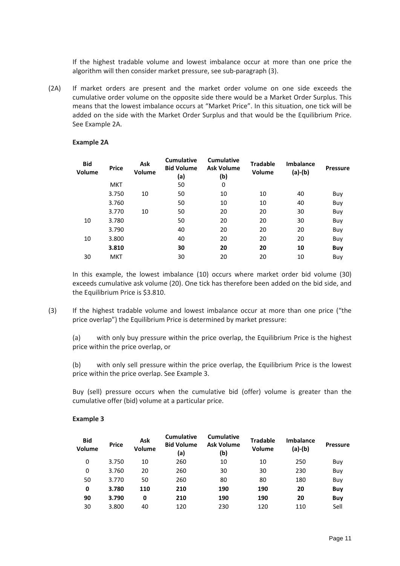If the highest tradable volume and lowest imbalance occur at more than one price the algorithm will then consider market pressure, see sub-paragraph (3).

(2A) If market orders are present and the market order volume on one side exceeds the cumulative order volume on the opposite side there would be a Market Order Surplus. This means that the lowest imbalance occurs at "Market Price". In this situation, one tick will be added on the side with the Market Order Surplus and that would be the Equilibrium Price. See Example 2A.

| <b>Bid</b><br>Volume | <b>Price</b> | Ask<br><b>Volume</b> | <b>Cumulative</b><br><b>Bid Volume</b><br>(a) | <b>Cumulative</b><br><b>Ask Volume</b><br>(b) | <b>Tradable</b><br>Volume | <b>Imbalance</b><br>(a)-(b) | <b>Pressure</b> |
|----------------------|--------------|----------------------|-----------------------------------------------|-----------------------------------------------|---------------------------|-----------------------------|-----------------|
|                      | <b>MKT</b>   |                      | 50                                            | 0                                             |                           |                             |                 |
|                      | 3.750        | 10                   | 50                                            | 10                                            | 10                        | 40                          | Buy             |
|                      | 3.760        |                      | 50                                            | 10                                            | 10                        | 40                          | Buy             |
|                      | 3.770        | 10                   | 50                                            | 20                                            | 20                        | 30                          | Buy             |
| 10                   | 3.780        |                      | 50                                            | 20                                            | 20                        | 30                          | Buy             |
|                      | 3.790        |                      | 40                                            | 20                                            | 20                        | 20                          | Buy             |
| 10                   | 3.800        |                      | 40                                            | 20                                            | 20                        | 20                          | Buy             |
|                      | 3.810        |                      | 30                                            | 20                                            | 20                        | 10                          | <b>Buy</b>      |
| 30                   | <b>MKT</b>   |                      | 30                                            | 20                                            | 20                        | 10                          | Buy             |

#### **Example 2A**

In this example, the lowest imbalance (10) occurs where market order bid volume (30) exceeds cumulative ask volume (20). One tick has therefore been added on the bid side, and the Equilibrium Price is \$3.810.

(3) If the highest tradable volume and lowest imbalance occur at more than one price ("the price overlap") the Equilibrium Price is determined by market pressure:

(a) with only buy pressure within the price overlap, the Equilibrium Price is the highest price within the price overlap, or

(b) with only sell pressure within the price overlap, the Equilibrium Price is the lowest price within the price overlap. See Example 3.

Buy (sell) pressure occurs when the cumulative bid (offer) volume is greater than the cumulative offer (bid) volume at a particular price.

#### **Example 3**

| <b>Bid</b><br>Volume | <b>Price</b> | Ask<br><b>Volume</b> | <b>Cumulative</b><br><b>Bid Volume</b><br>(a) | <b>Cumulative</b><br><b>Ask Volume</b><br>(b) | <b>Tradable</b><br>Volume | <b>Imbalance</b><br>(a)-(b) | <b>Pressure</b> |
|----------------------|--------------|----------------------|-----------------------------------------------|-----------------------------------------------|---------------------------|-----------------------------|-----------------|
| 0                    | 3.750        | 10                   | 260                                           | 10                                            | 10                        | 250                         | Buy             |
| 0                    | 3.760        | 20                   | 260                                           | 30                                            | 30                        | 230                         | Buy             |
| 50                   | 3.770        | 50                   | 260                                           | 80                                            | 80                        | 180                         | Buy             |
| 0                    | 3.780        | 110                  | 210                                           | 190                                           | 190                       | 20                          | <b>Buy</b>      |
| 90                   | 3.790        | 0                    | 210                                           | 190                                           | 190                       | 20                          | <b>Buy</b>      |
| 30                   | 3.800        | 40                   | 120                                           | 230                                           | 120                       | 110                         | Sell            |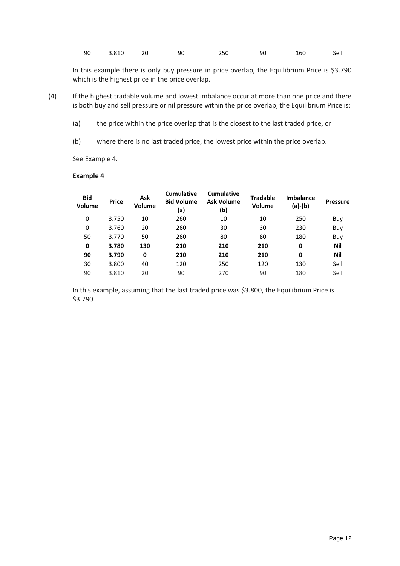|  | 90 3.810 | 20 | 90 | 250 | 90 | 160 | Sell |
|--|----------|----|----|-----|----|-----|------|
|--|----------|----|----|-----|----|-----|------|

In this example there is only buy pressure in price overlap, the Equilibrium Price is \$3.790 which is the highest price in the price overlap.

- (4) If the highest tradable volume and lowest imbalance occur at more than one price and there is both buy and sell pressure or nil pressure within the price overlap, the Equilibrium Price is:
	- (a) the price within the price overlap that is the closest to the last traded price, or
	- (b) where there is no last traded price, the lowest price within the price overlap.

See Example 4.

#### **Example 4**

| <b>Bid</b><br>Volume | <b>Price</b> | Ask<br><b>Volume</b> | <b>Cumulative</b><br><b>Bid Volume</b><br>(a) | <b>Cumulative</b><br><b>Ask Volume</b><br>(b) | <b>Tradable</b><br><b>Volume</b> | <b>Imbalance</b><br>$(a)-(b)$ | <b>Pressure</b> |
|----------------------|--------------|----------------------|-----------------------------------------------|-----------------------------------------------|----------------------------------|-------------------------------|-----------------|
| 0                    | 3.750        | 10                   | 260                                           | 10                                            | 10                               | 250                           | Buy             |
| 0                    | 3.760        | 20                   | 260                                           | 30                                            | 30                               | 230                           | Buy             |
| 50                   | 3.770        | 50                   | 260                                           | 80                                            | 80                               | 180                           | Buy             |
| 0                    | 3.780        | 130                  | 210                                           | 210                                           | 210                              | 0                             | Nil             |
| 90                   | 3.790        | 0                    | 210                                           | 210                                           | 210                              | 0                             | Nil             |
| 30                   | 3.800        | 40                   | 120                                           | 250                                           | 120                              | 130                           | Sell            |
| 90                   | 3.810        | 20                   | 90                                            | 270                                           | 90                               | 180                           | Sell            |
|                      |              |                      |                                               |                                               |                                  |                               |                 |

In this example, assuming that the last traded price was \$3.800, the Equilibrium Price is \$3.790.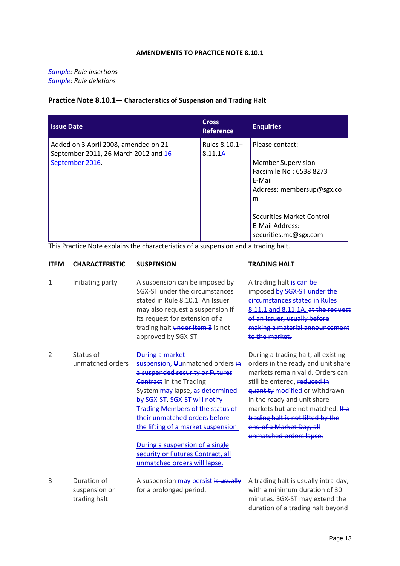#### **AMENDMENTS TO PRACTICE NOTE 8.10.1**

*Sample : Rule insertions Sample: Rule deletions*

### **Practice Note 8.10.1— Characteristics of Suspension and Trading Halt**

| <b>Issue Date</b>                                                                               | <b>Cross</b><br><b>Reference</b> | <b>Enquiries</b>                                                                                                                                                                                                  |
|-------------------------------------------------------------------------------------------------|----------------------------------|-------------------------------------------------------------------------------------------------------------------------------------------------------------------------------------------------------------------|
| Added on 3 April 2008, amended on 21<br>September 2011, 26 March 2012 and 16<br>September 2016. | Rules 8.10.1-<br>8.11.1A         | Please contact:<br><b>Member Supervision</b><br>Facsimile No: 6538 8273<br>F-Mail<br>Address: membersup@sgx.co<br>$\underline{m}$<br><b>Securities Market Control</b><br>E-Mail Address:<br>securities.mc@sgx.com |

This Practice Note explains the characteristics of a suspension and a trading halt.

| <b>ITEM</b>    | <b>CHARACTERISTIC</b>                        | <b>SUSPENSION</b>                                                                                                                                                                                                                                                                                                                                                                                                       | <b>TRADING HALT</b>                                                                                                                                                                                                                                                                                                                             |
|----------------|----------------------------------------------|-------------------------------------------------------------------------------------------------------------------------------------------------------------------------------------------------------------------------------------------------------------------------------------------------------------------------------------------------------------------------------------------------------------------------|-------------------------------------------------------------------------------------------------------------------------------------------------------------------------------------------------------------------------------------------------------------------------------------------------------------------------------------------------|
| $\mathbf{1}$   | Initiating party                             | A suspension can be imposed by<br>SGX-ST under the circumstances<br>stated in Rule 8.10.1. An Issuer<br>may also request a suspension if<br>its request for extension of a<br>trading halt under Item 3 is not<br>approved by SGX-ST.                                                                                                                                                                                   | A trading halt is can be<br>imposed by SGX-ST under the<br>circumstances stated in Rules<br>8.11.1 and 8.11.1A. at the request<br>of an Issuer, usually before<br>making a material announcement<br>to the market.                                                                                                                              |
| $\overline{2}$ | Status of<br>unmatched orders                | During a market<br>suspension, Uunmatched orders in<br>a suspended security or Futures<br><b>Contract</b> in the Trading<br>System may lapse, as determined<br>by SGX-ST. SGX-ST will notify<br><b>Trading Members of the status of</b><br>their unmatched orders before<br>the lifting of a market suspension.<br>During a suspension of a single<br>security or Futures Contract, all<br>unmatched orders will lapse. | During a trading halt, all existing<br>orders in the ready and unit share<br>markets remain valid. Orders can<br>still be entered, reduced in<br>quantity modified or withdrawn<br>in the ready and unit share<br>markets but are not matched. If a<br>trading halt is not lifted by the<br>end of a Market Day, all<br>unmatched orders lapse. |
| 3              | Duration of<br>suspension or<br>trading halt | A suspension may persist is usually<br>for a prolonged period.                                                                                                                                                                                                                                                                                                                                                          | A trading halt is usually intra-day,<br>with a minimum duration of 30<br>minutes. SGX-ST may extend the<br>duration of a trading halt beyond                                                                                                                                                                                                    |